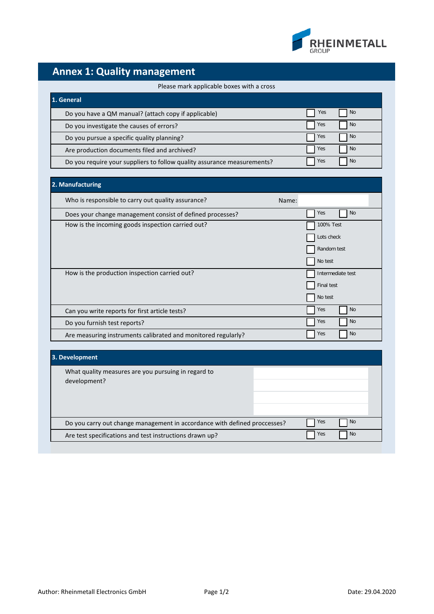

## **Annex 1: Quality management**

## Please mark applicable boxes with a cross

| 1. General                                                              |     |           |
|-------------------------------------------------------------------------|-----|-----------|
| Do you have a QM manual? (attach copy if applicable)                    | Yes | No.       |
| Do you investigate the causes of errors?                                | Yes | <b>No</b> |
| Do you pursue a specific quality planning?                              | Yes | No.       |
| Are production documents filed and archived?                            | Yes | No.       |
| Do you require your suppliers to follow quality assurance measurements? | Yes | No.       |

| 2. Manufacturing                                              |                   |
|---------------------------------------------------------------|-------------------|
| Who is responsible to carry out quality assurance?            | Name:             |
| Does your change management consist of defined processes?     | <b>No</b><br>Yes  |
| How is the incoming goods inspection carried out?             | 100% Test         |
|                                                               | Lots check        |
|                                                               | Random test       |
|                                                               | No test           |
| How is the production inspection carried out?                 | Intermediate test |
|                                                               | Final test        |
|                                                               | No test           |
| Can you write reports for first article tests?                | <b>No</b><br>Yes  |
| Do you furnish test reports?                                  | <b>No</b><br>Yes  |
| Are measuring instruments calibrated and monitored regularly? | <b>No</b><br>Yes  |

| 3. Development                                                            |  |     |           |
|---------------------------------------------------------------------------|--|-----|-----------|
| What quality measures are you pursuing in regard to<br>development?       |  |     |           |
|                                                                           |  |     |           |
| Do you carry out change management in accordance with defined proccesses? |  | Yes | <b>No</b> |
| Are test specifications and test instructions drawn up?                   |  | Yes | <b>No</b> |